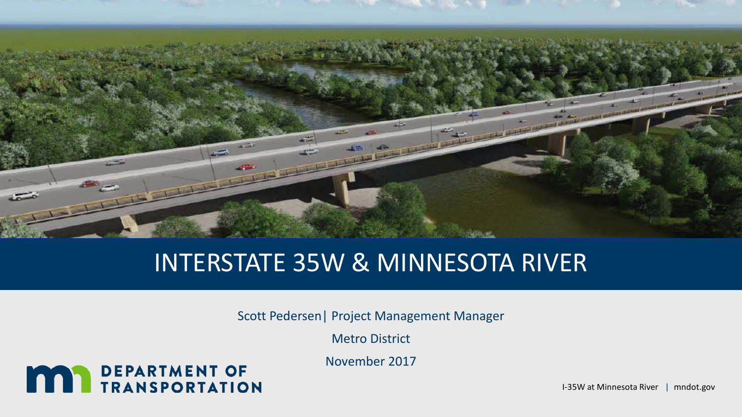

# INTERSTATE 35W & MINNESOTA RIVER

Scott Pedersen| Project Management Manager

Metro District

November 2017

# **MAY DEPARTMENT OF TRANSPORTATION**

I-35W at Minnesota River | mndot.gov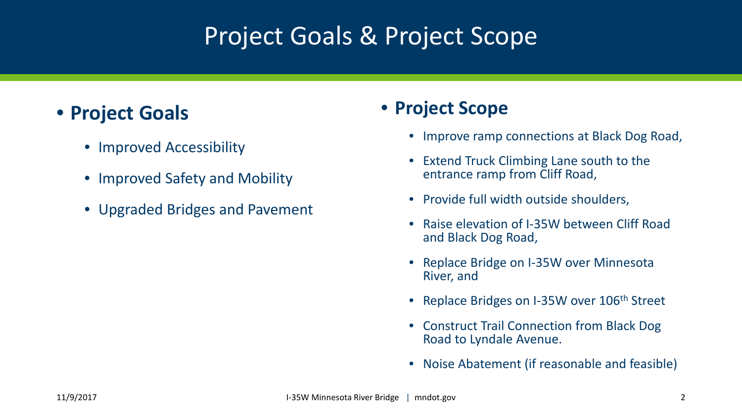# Project Goals & Project Scope

### • **Project Goals**

- Improved Accessibility
- Improved Safety and Mobility
- Upgraded Bridges and Pavement

### • **Project Scope**

- Improve ramp connections at Black Dog Road,
- Extend Truck Climbing Lane south to the entrance ramp from Cliff Road,
- Provide full width outside shoulders,
- Raise elevation of I-35W between Cliff Road and Black Dog Road,
- Replace Bridge on I-35W over Minnesota River, and
- Replace Bridges on I-35W over 106<sup>th</sup> Street
- Construct Trail Connection from Black Dog Road to Lyndale Avenue.
- Noise Abatement (if reasonable and feasible)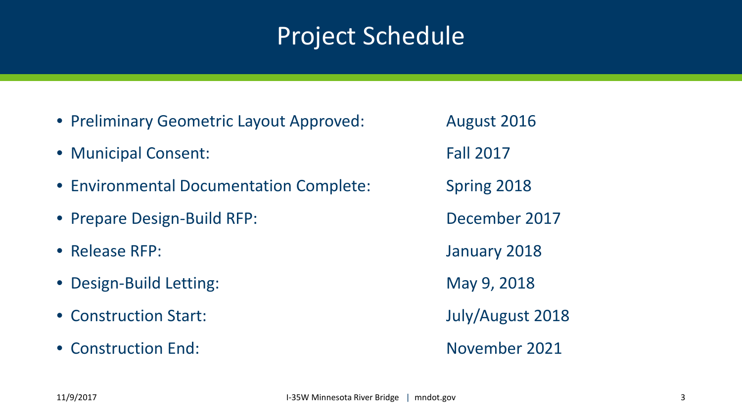# Project Schedule

- Preliminary Geometric Layout Approved: August 2016
- Municipal Consent: Fall 2017
- Environmental Documentation Complete: Spring 2018
- Prepare Design-Build RFP: December 2017
- Release RFP: January 2018
- Design-Build Letting: May 9, 2018
- Construction Start: July/August 2018
- Construction End: November 2021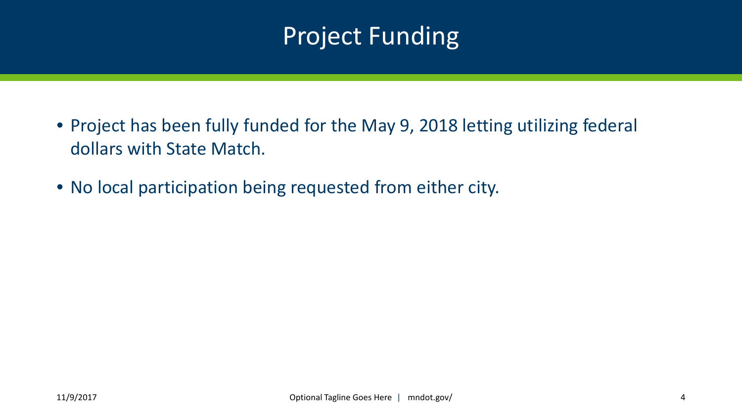# Project Funding

- Project has been fully funded for the May 9, 2018 letting utilizing federal dollars with State Match.
- No local participation being requested from either city.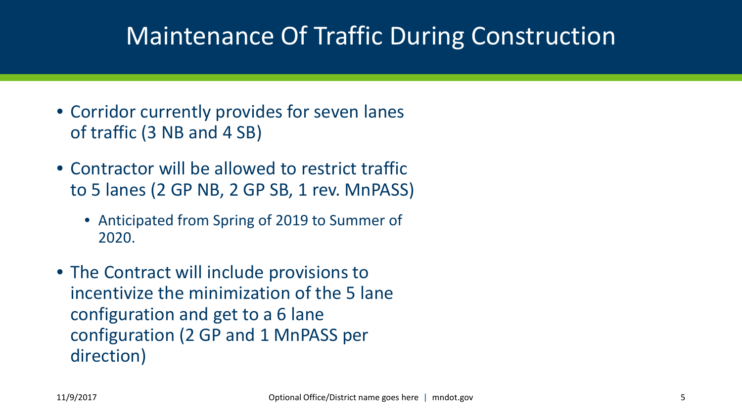# Maintenance Of Traffic During Construction

- Corridor currently provides for seven lanes of traffic (3 NB and 4 SB)
- Contractor will be allowed to restrict traffic to 5 lanes (2 GP NB, 2 GP SB, 1 rev. MnPASS)
	- Anticipated from Spring of 2019 to Summer of 2020.
- The Contract will include provisions to incentivize the minimization of the 5 lane configuration and get to a 6 lane configuration (2 GP and 1 MnPASS per direction)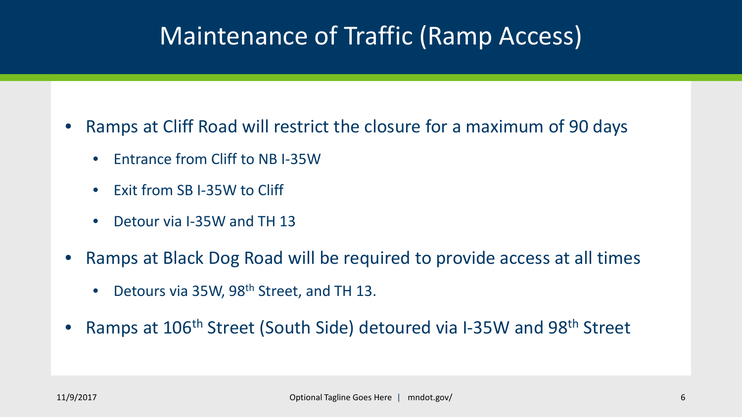# Maintenance of Traffic (Ramp Access)

- Ramps at Cliff Road will restrict the closure for a maximum of 90 days
	- Entrance from Cliff to NB I-35W
	- Exit from SB I-35W to Cliff
	- Detour via I-35W and TH 13
- Ramps at Black Dog Road will be required to provide access at all times
	- Detours via 35W, 98<sup>th</sup> Street, and TH 13.
- Ramps at 106<sup>th</sup> Street (South Side) detoured via I-35W and 98<sup>th</sup> Street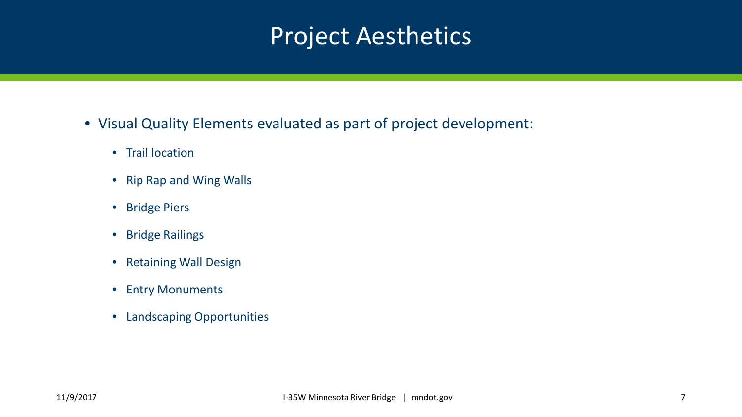# Project Aesthetics

- Visual Quality Elements evaluated as part of project development:
	- Trail location
	- Rip Rap and Wing Walls
	- Bridge Piers
	- Bridge Railings
	- Retaining Wall Design
	- Entry Monuments
	- Landscaping Opportunities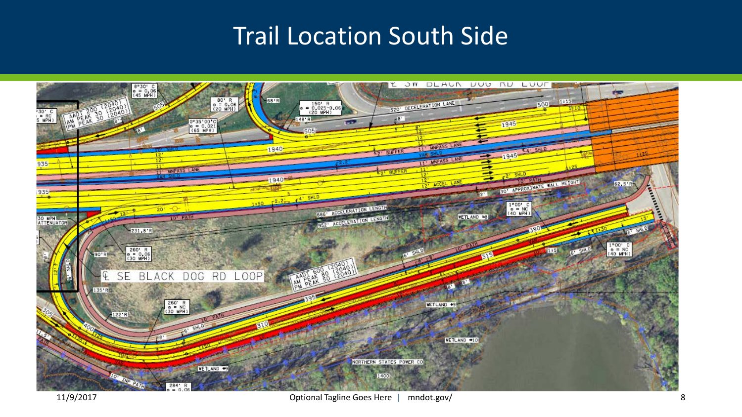# Trail Location South Side

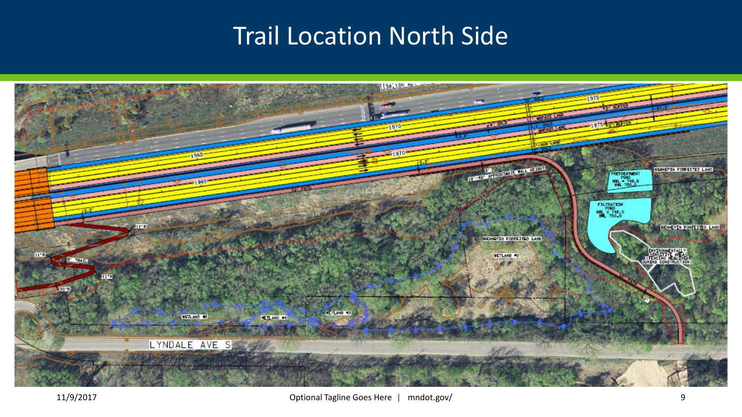# Trail Location North Side

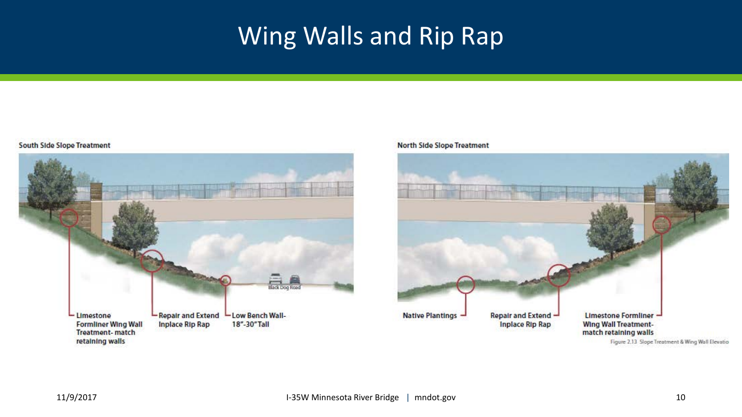# Wing Walls and Rip Rap

#### South Side Slope Treatment



#### **North Side Slope Treatment**

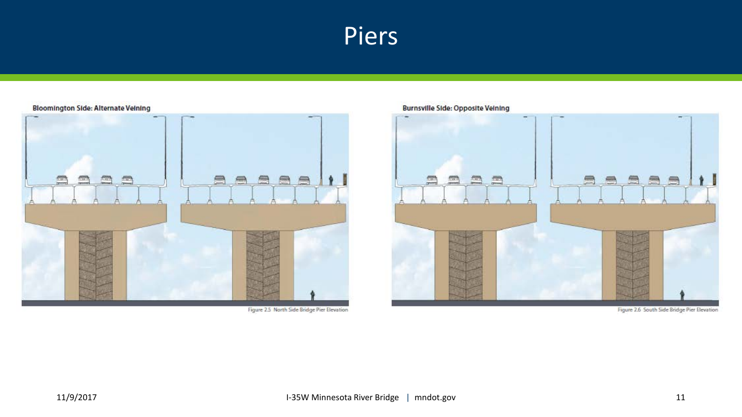## Piers



Figure 2.5 North Side Bridge Pier Elevation

### **Burnsville Side: Opposite Veining**



Figure 2.6 South Side Bridge Pier Elevation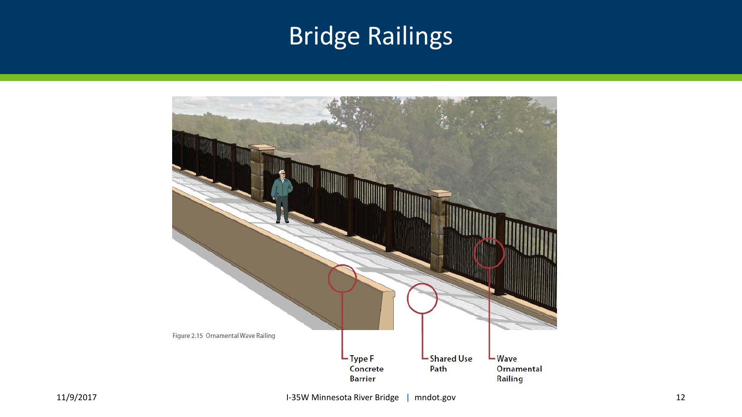# Bridge Railings

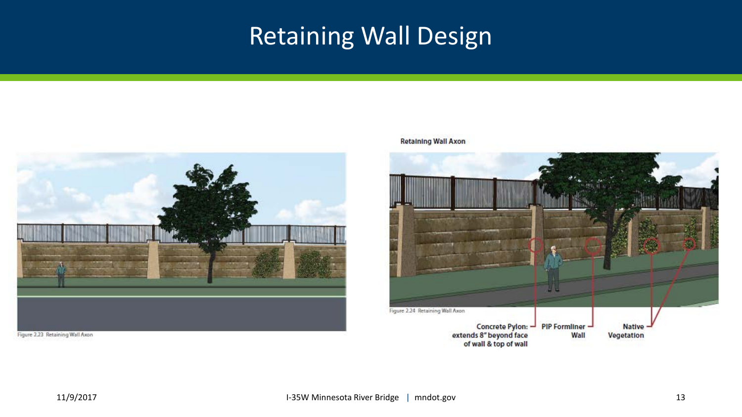# Retaining Wall Design



Figure 2.23 Retaining Wall Axon

**Retaining Wall Axon** 

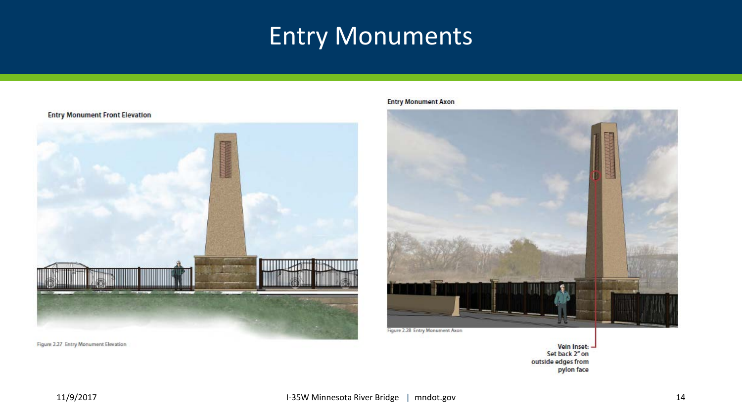# Entry Monuments



Figure 2.27 Entry Monument Elevation

#### **Entry Monument Axon**



Veln Inset: Set back 2" on outside edges from pylon face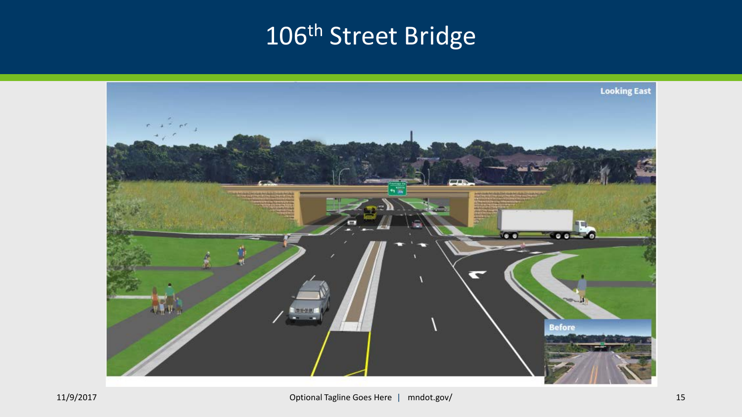# 106<sup>th</sup> Street Bridge

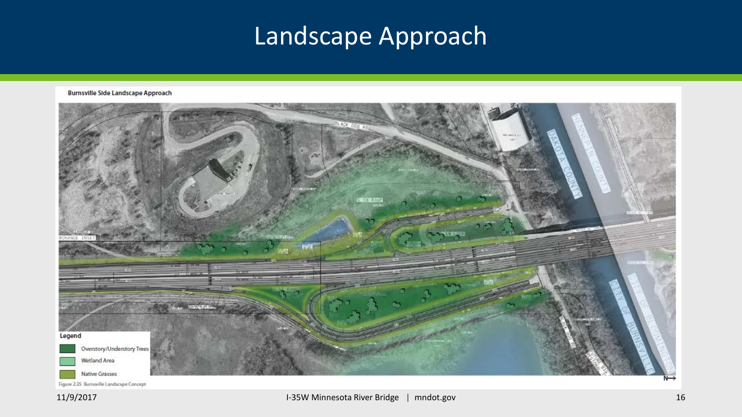# Landscape Approach

**Burnsville Side Landscape Approach** 

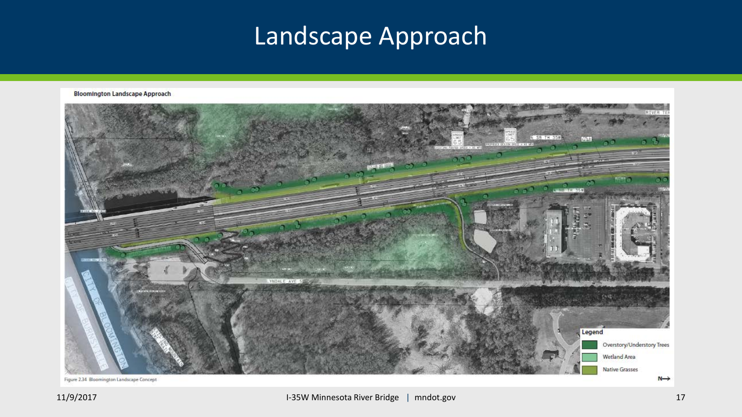# Landscape Approach

**Bloomington Landscape Approach** 

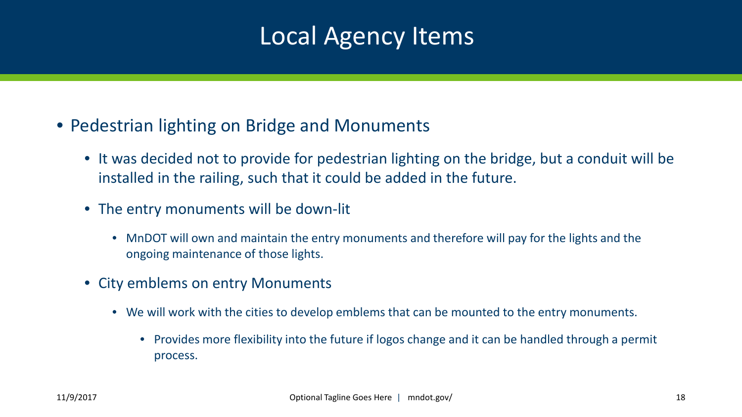# Local Agency Items

- Pedestrian lighting on Bridge and Monuments
	- It was decided not to provide for pedestrian lighting on the bridge, but a conduit will be installed in the railing, such that it could be added in the future.
	- The entry monuments will be down-lit
		- MnDOT will own and maintain the entry monuments and therefore will pay for the lights and the ongoing maintenance of those lights.
	- City emblems on entry Monuments
		- We will work with the cities to develop emblems that can be mounted to the entry monuments.
			- Provides more flexibility into the future if logos change and it can be handled through a permit process.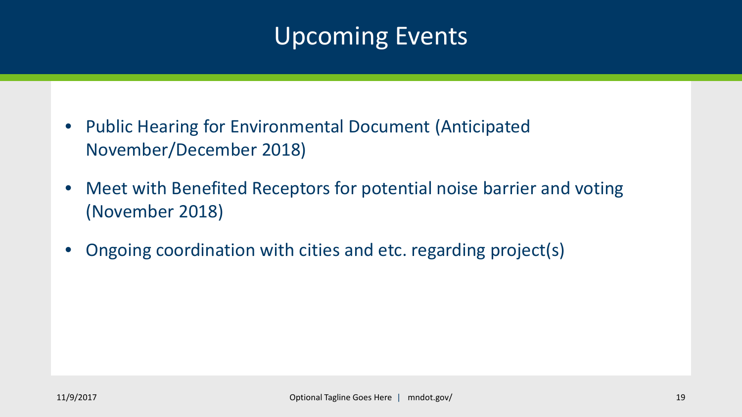# Upcoming Events

- Public Hearing for Environmental Document (Anticipated November/December 2018)
- Meet with Benefited Receptors for potential noise barrier and voting (November 2018)
- Ongoing coordination with cities and etc. regarding project(s)